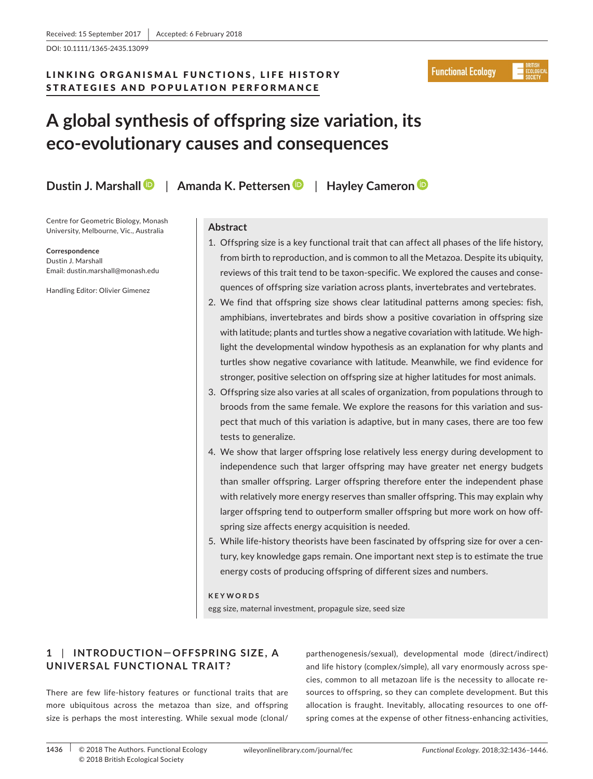DOI: 10.1111/1365-2435.13099

# LINKING ORGANISMAL FUNCTIONS, LIFE HISTORY STRATEGIES AND POPULATION PERFORMANCE

**Functional Ecology** 

# **A global synthesis of offspring size variation, its eco-evolutionary causes and consequences**

**Dustin J. Marshall** | **Amanda K. Pettersen** | **Hayley Cameron**

Centre for Geometric Biology, Monash University, Melbourne, Vic., Australia

#### **Correspondence**

Dustin J. Marshall Email: [dustin.marshall@monash.edu](mailto:dustin.marshall@monash.edu)

Handling Editor: Olivier Gimenez

# **Abstract**

- 1. Offspring size is a key functional trait that can affect all phases of the life history, from birth to reproduction, and is common to all the Metazoa. Despite its ubiquity, reviews of this trait tend to be taxon-specific. We explored the causes and consequences of offspring size variation across plants, invertebrates and vertebrates.
- 2. We find that offspring size shows clear latitudinal patterns among species: fish, amphibians, invertebrates and birds show a positive covariation in offspring size with latitude; plants and turtles show a negative covariation with latitude. We highlight the developmental window hypothesis as an explanation for why plants and turtles show negative covariance with latitude. Meanwhile, we find evidence for stronger, positive selection on offspring size at higher latitudes for most animals.
- 3. Offspring size also varies at all scales of organization, from populations through to broods from the same female. We explore the reasons for this variation and suspect that much of this variation is adaptive, but in many cases, there are too few tests to generalize.
- 4. We show that larger offspring lose relatively less energy during development to independence such that larger offspring may have greater net energy budgets than smaller offspring. Larger offspring therefore enter the independent phase with relatively more energy reserves than smaller offspring. This may explain why larger offspring tend to outperform smaller offspring but more work on how offspring size affects energy acquisition is needed.
- 5. While life-history theorists have been fascinated by offspring size for over a century, key knowledge gaps remain. One important next step is to estimate the true energy costs of producing offspring of different sizes and numbers.

# **KEYWORDS**

egg size, maternal investment, propagule size, seed size

# **1** | **INTRODUC TION— OFFSPRING SIZE , A UNIVERSAL FUNCTIONAL TRAIT?**

There are few life-history features or functional traits that are more ubiquitous across the metazoa than size, and offspring size is perhaps the most interesting. While sexual mode (clonal/ parthenogenesis/sexual), developmental mode (direct/indirect) and life history (complex/simple), all vary enormously across species, common to all metazoan life is the necessity to allocate resources to offspring, so they can complete development. But this allocation is fraught. Inevitably, allocating resources to one offspring comes at the expense of other fitness-enhancing activities,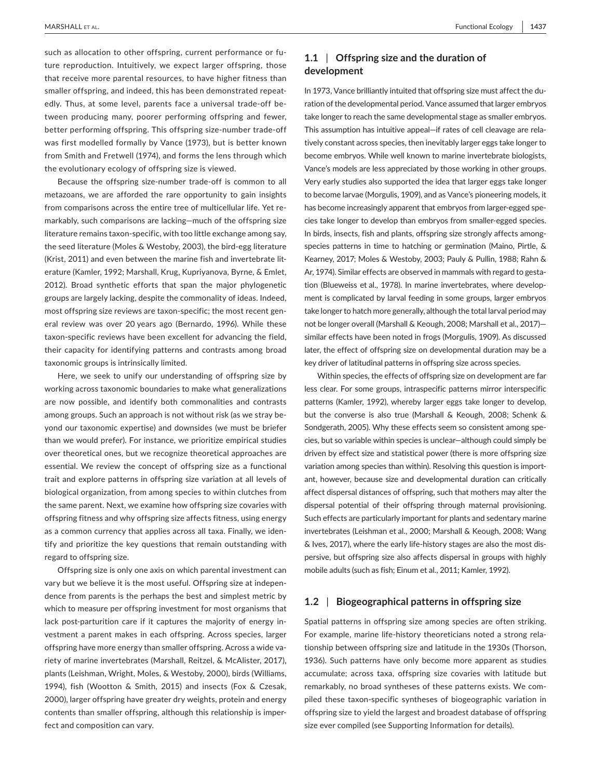such as allocation to other offspring, current performance or future reproduction. Intuitively, we expect larger offspring, those that receive more parental resources, to have higher fitness than smaller offspring, and indeed, this has been demonstrated repeatedly. Thus, at some level, parents face a universal trade-off between producing many, poorer performing offspring and fewer, better performing offspring. This offspring size-number trade-off was first modelled formally by Vance (1973), but is better known from Smith and Fretwell (1974), and forms the lens through which the evolutionary ecology of offspring size is viewed.

Because the offspring size-number trade-off is common to all metazoans, we are afforded the rare opportunity to gain insights from comparisons across the entire tree of multicellular life. Yet remarkably, such comparisons are lacking—much of the offspring size literature remains taxon-specific, with too little exchange among say, the seed literature (Moles & Westoby, 2003), the bird-egg literature (Krist, 2011) and even between the marine fish and invertebrate literature (Kamler, 1992; Marshall, Krug, Kupriyanova, Byrne, & Emlet, 2012). Broad synthetic efforts that span the major phylogenetic groups are largely lacking, despite the commonality of ideas. Indeed, most offspring size reviews are taxon-specific; the most recent general review was over 20 years ago (Bernardo, 1996). While these taxon-specific reviews have been excellent for advancing the field, their capacity for identifying patterns and contrasts among broad taxonomic groups is intrinsically limited.

Here, we seek to unify our understanding of offspring size by working across taxonomic boundaries to make what generalizations are now possible, and identify both commonalities and contrasts among groups. Such an approach is not without risk (as we stray beyond our taxonomic expertise) and downsides (we must be briefer than we would prefer). For instance, we prioritize empirical studies over theoretical ones, but we recognize theoretical approaches are essential. We review the concept of offspring size as a functional trait and explore patterns in offspring size variation at all levels of biological organization, from among species to within clutches from the same parent. Next, we examine how offspring size covaries with offspring fitness and why offspring size affects fitness, using energy as a common currency that applies across all taxa. Finally, we identify and prioritize the key questions that remain outstanding with regard to offspring size.

Offspring size is only one axis on which parental investment can vary but we believe it is the most useful. Offspring size at independence from parents is the perhaps the best and simplest metric by which to measure per offspring investment for most organisms that lack post-parturition care if it captures the majority of energy investment a parent makes in each offspring. Across species, larger offspring have more energy than smaller offspring. Across a wide variety of marine invertebrates (Marshall, Reitzel, & McAlister, 2017), plants (Leishman, Wright, Moles, & Westoby, 2000), birds (Williams, 1994), fish (Wootton & Smith, 2015) and insects (Fox & Czesak, 2000), larger offspring have greater dry weights, protein and energy contents than smaller offspring, although this relationship is imperfect and composition can vary.

# **1.1** | **Offspring size and the duration of development**

In 1973, Vance brilliantly intuited that offspring size must affect the duration of the developmental period. Vance assumed that larger embryos take longer to reach the same developmental stage as smaller embryos. This assumption has intuitive appeal—if rates of cell cleavage are relatively constant across species, then inevitably larger eggs take longer to become embryos. While well known to marine invertebrate biologists, Vance's models are less appreciated by those working in other groups. Very early studies also supported the idea that larger eggs take longer to become larvae (Morgulis, 1909), and as Vance's pioneering models, it has become increasingly apparent that embryos from larger-egged species take longer to develop than embryos from smaller-egged species. In birds, insects, fish and plants, offspring size strongly affects amongspecies patterns in time to hatching or germination (Maino, Pirtle, & Kearney, 2017; Moles & Westoby, 2003; Pauly & Pullin, 1988; Rahn & Ar, 1974). Similar effects are observed in mammals with regard to gestation (Blueweiss et al., 1978). In marine invertebrates, where development is complicated by larval feeding in some groups, larger embryos take longer to hatch more generally, although the total larval period may not be longer overall (Marshall & Keough, 2008; Marshall et al., 2017) similar effects have been noted in frogs (Morgulis, 1909). As discussed later, the effect of offspring size on developmental duration may be a key driver of latitudinal patterns in offspring size across species.

Within species, the effects of offspring size on development are far less clear. For some groups, intraspecific patterns mirror interspecific patterns (Kamler, 1992), whereby larger eggs take longer to develop, but the converse is also true (Marshall & Keough, 2008; Schenk & Sondgerath, 2005). Why these effects seem so consistent among species, but so variable within species is unclear—although could simply be driven by effect size and statistical power (there is more offspring size variation among species than within). Resolving this question is important, however, because size and developmental duration can critically affect dispersal distances of offspring, such that mothers may alter the dispersal potential of their offspring through maternal provisioning. Such effects are particularly important for plants and sedentary marine invertebrates (Leishman et al., 2000; Marshall & Keough, 2008; Wang & Ives, 2017), where the early life-history stages are also the most dispersive, but offspring size also affects dispersal in groups with highly mobile adults (such as fish; Einum et al., 2011; Kamler, 1992).

#### **1.2** | **Biogeographical patterns in offspring size**

Spatial patterns in offspring size among species are often striking. For example, marine life-history theoreticians noted a strong relationship between offspring size and latitude in the 1930s (Thorson, 1936). Such patterns have only become more apparent as studies accumulate; across taxa, offspring size covaries with latitude but remarkably, no broad syntheses of these patterns exists. We compiled these taxon-specific syntheses of biogeographic variation in offspring size to yield the largest and broadest database of offspring size ever compiled (see Supporting Information for details).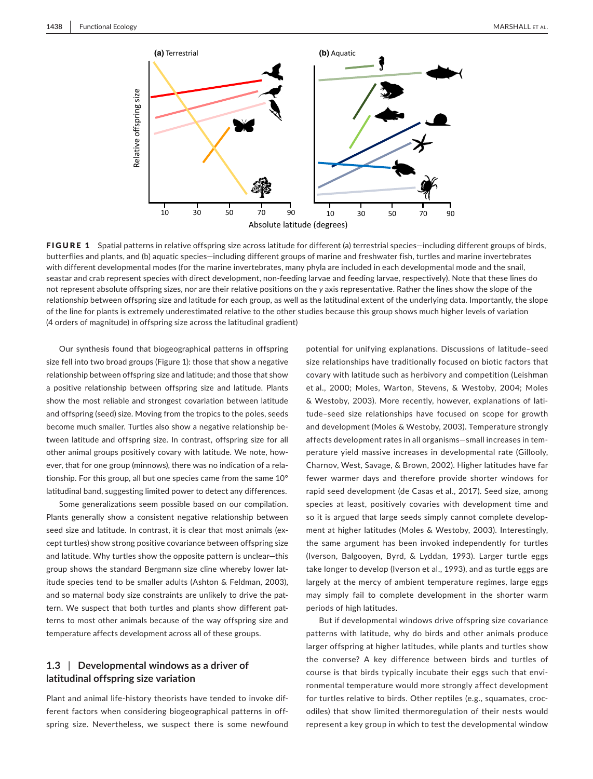

FIGURE 1 Spatial patterns in relative offspring size across latitude for different (a) terrestrial species—including different groups of birds, butterflies and plants, and (b) aquatic species—including different groups of marine and freshwater fish, turtles and marine invertebrates with different developmental modes (for the marine invertebrates, many phyla are included in each developmental mode and the snail, seastar and crab represent species with direct development, non-feeding larvae and feeding larvae, respectively). Note that these lines do not represent absolute offspring sizes, nor are their relative positions on the *y* axis representative. Rather the lines show the slope of the relationship between offspring size and latitude for each group, as well as the latitudinal extent of the underlying data. Importantly, the slope of the line for plants is extremely underestimated relative to the other studies because this group shows much higher levels of variation (4 orders of magnitude) in offspring size across the latitudinal gradient)

Our synthesis found that biogeographical patterns in offspring size fell into two broad groups (Figure 1): those that show a negative relationship between offspring size and latitude; and those that show a positive relationship between offspring size and latitude. Plants show the most reliable and strongest covariation between latitude and offspring (seed) size. Moving from the tropics to the poles, seeds become much smaller. Turtles also show a negative relationship between latitude and offspring size. In contrast, offspring size for all other animal groups positively covary with latitude. We note, however, that for one group (minnows), there was no indication of a relationship. For this group, all but one species came from the same 10° latitudinal band, suggesting limited power to detect any differences.

Some generalizations seem possible based on our compilation. Plants generally show a consistent negative relationship between seed size and latitude. In contrast, it is clear that most animals (except turtles) show strong positive covariance between offspring size and latitude. Why turtles show the opposite pattern is unclear—this group shows the standard Bergmann size cline whereby lower latitude species tend to be smaller adults (Ashton & Feldman, 2003), and so maternal body size constraints are unlikely to drive the pattern. We suspect that both turtles and plants show different patterns to most other animals because of the way offspring size and temperature affects development across all of these groups.

# **1.3** | **Developmental windows as a driver of latitudinal offspring size variation**

Plant and animal life-history theorists have tended to invoke different factors when considering biogeographical patterns in offspring size. Nevertheless, we suspect there is some newfound

potential for unifying explanations. Discussions of latitude–seed size relationships have traditionally focused on biotic factors that covary with latitude such as herbivory and competition (Leishman et al., 2000; Moles, Warton, Stevens, & Westoby, 2004; Moles & Westoby, 2003). More recently, however, explanations of latitude–seed size relationships have focused on scope for growth and development (Moles & Westoby, 2003). Temperature strongly affects development rates in all organisms—small increases in temperature yield massive increases in developmental rate (Gillooly, Charnov, West, Savage, & Brown, 2002). Higher latitudes have far fewer warmer days and therefore provide shorter windows for rapid seed development (de Casas et al., 2017). Seed size, among species at least, positively covaries with development time and so it is argued that large seeds simply cannot complete development at higher latitudes (Moles & Westoby, 2003). Interestingly, the same argument has been invoked independently for turtles (Iverson, Balgooyen, Byrd, & Lyddan, 1993). Larger turtle eggs take longer to develop (Iverson et al., 1993), and as turtle eggs are largely at the mercy of ambient temperature regimes, large eggs may simply fail to complete development in the shorter warm periods of high latitudes.

But if developmental windows drive offspring size covariance patterns with latitude, why do birds and other animals produce larger offspring at higher latitudes, while plants and turtles show the converse? A key difference between birds and turtles of course is that birds typically incubate their eggs such that environmental temperature would more strongly affect development for turtles relative to birds. Other reptiles (e.g., squamates, crocodiles) that show limited thermoregulation of their nests would represent a key group in which to test the developmental window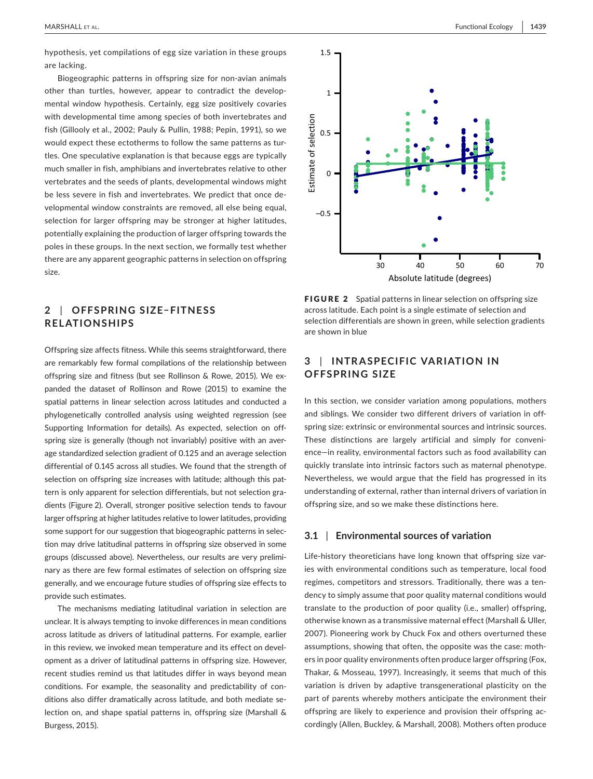hypothesis, yet compilations of egg size variation in these groups are lacking.

Biogeographic patterns in offspring size for non-avian animals other than turtles, however, appear to contradict the developmental window hypothesis. Certainly, egg size positively covaries with developmental time among species of both invertebrates and fish (Gillooly et al., 2002; Pauly & Pullin, 1988; Pepin, 1991), so we would expect these ectotherms to follow the same patterns as turtles. One speculative explanation is that because eggs are typically much smaller in fish, amphibians and invertebrates relative to other vertebrates and the seeds of plants, developmental windows might be less severe in fish and invertebrates. We predict that once developmental window constraints are removed, all else being equal, selection for larger offspring may be stronger at higher latitudes, potentially explaining the production of larger offspring towards the poles in these groups. In the next section, we formally test whether there are any apparent geographic patterns in selection on offspring size.

# **2** | **OFFSPRING SIZE–FITNESS RELATIONSHIPS**

Offspring size affects fitness. While this seems straightforward, there are remarkably few formal compilations of the relationship between offspring size and fitness (but see Rollinson & Rowe, 2015). We expanded the dataset of Rollinson and Rowe (2015) to examine the spatial patterns in linear selection across latitudes and conducted a phylogenetically controlled analysis using weighted regression (see Supporting Information for details). As expected, selection on offspring size is generally (though not invariably) positive with an average standardized selection gradient of 0.125 and an average selection differential of 0.145 across all studies. We found that the strength of selection on offspring size increases with latitude; although this pattern is only apparent for selection differentials, but not selection gradients (Figure 2). Overall, stronger positive selection tends to favour larger offspring at higher latitudes relative to lower latitudes, providing some support for our suggestion that biogeographic patterns in selection may drive latitudinal patterns in offspring size observed in some groups (discussed above). Nevertheless, our results are very preliminary as there are few formal estimates of selection on offspring size generally, and we encourage future studies of offspring size effects to provide such estimates.

The mechanisms mediating latitudinal variation in selection are unclear. It is always tempting to invoke differences in mean conditions across latitude as drivers of latitudinal patterns. For example, earlier in this review, we invoked mean temperature and its effect on development as a driver of latitudinal patterns in offspring size. However, recent studies remind us that latitudes differ in ways beyond mean conditions. For example, the seasonality and predictability of conditions also differ dramatically across latitude, and both mediate selection on, and shape spatial patterns in, offspring size (Marshall & Burgess, 2015).



FIGURE 2 Spatial patterns in linear selection on offspring size across latitude. Each point is a single estimate of selection and selection differentials are shown in green, while selection gradients are shown in blue

# **3** | **INTR A SPECIFIC VARIATION IN OFFSPRING SIZE**

In this section, we consider variation among populations, mothers and siblings. We consider two different drivers of variation in offspring size: extrinsic or environmental sources and intrinsic sources. These distinctions are largely artificial and simply for convenience—in reality, environmental factors such as food availability can quickly translate into intrinsic factors such as maternal phenotype. Nevertheless, we would argue that the field has progressed in its understanding of external, rather than internal drivers of variation in offspring size, and so we make these distinctions here.

### **3.1** | **Environmental sources of variation**

Life-history theoreticians have long known that offspring size varies with environmental conditions such as temperature, local food regimes, competitors and stressors. Traditionally, there was a tendency to simply assume that poor quality maternal conditions would translate to the production of poor quality (i.e., smaller) offspring, otherwise known as a transmissive maternal effect (Marshall & Uller, 2007). Pioneering work by Chuck Fox and others overturned these assumptions, showing that often, the opposite was the case: mothers in poor quality environments often produce larger offspring (Fox, Thakar, & Mosseau, 1997). Increasingly, it seems that much of this variation is driven by adaptive transgenerational plasticity on the part of parents whereby mothers anticipate the environment their offspring are likely to experience and provision their offspring accordingly (Allen, Buckley, & Marshall, 2008). Mothers often produce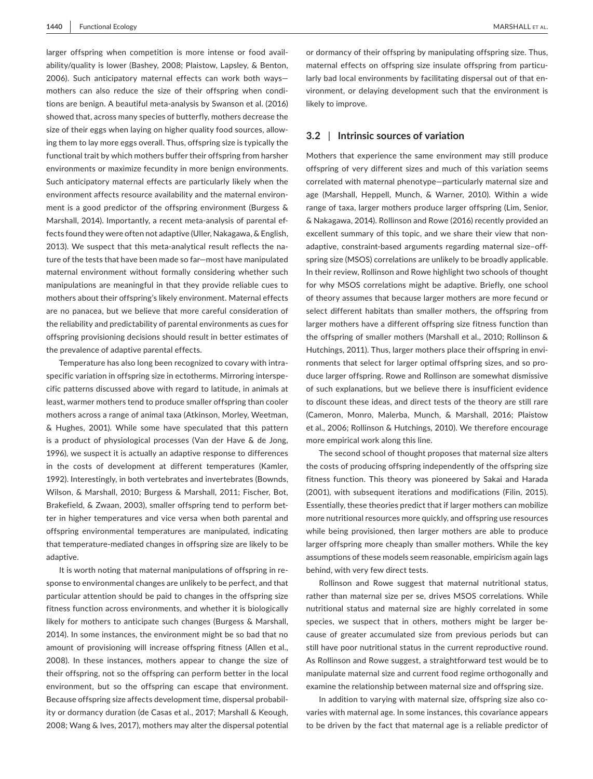larger offspring when competition is more intense or food availability/quality is lower (Bashey, 2008; Plaistow, Lapsley, & Benton, 2006). Such anticipatory maternal effects can work both ways mothers can also reduce the size of their offspring when conditions are benign. A beautiful meta-analysis by Swanson et al. (2016) showed that, across many species of butterfly, mothers decrease the size of their eggs when laying on higher quality food sources, allowing them to lay more eggs overall. Thus, offspring size is typically the functional trait by which mothers buffer their offspring from harsher environments or maximize fecundity in more benign environments. Such anticipatory maternal effects are particularly likely when the environment affects resource availability and the maternal environment is a good predictor of the offspring environment (Burgess & Marshall, 2014). Importantly, a recent meta-analysis of parental effects found they were often not adaptive (Uller, Nakagawa, & English, 2013). We suspect that this meta-analytical result reflects the nature of the tests that have been made so far—most have manipulated maternal environment without formally considering whether such manipulations are meaningful in that they provide reliable cues to mothers about their offspring's likely environment. Maternal effects are no panacea, but we believe that more careful consideration of the reliability and predictability of parental environments as cues for offspring provisioning decisions should result in better estimates of the prevalence of adaptive parental effects.

Temperature has also long been recognized to covary with intraspecific variation in offspring size in ectotherms. Mirroring interspecific patterns discussed above with regard to latitude, in animals at least, warmer mothers tend to produce smaller offspring than cooler mothers across a range of animal taxa (Atkinson, Morley, Weetman, & Hughes, 2001). While some have speculated that this pattern is a product of physiological processes (Van der Have & de Jong, 1996), we suspect it is actually an adaptive response to differences in the costs of development at different temperatures (Kamler, 1992). Interestingly, in both vertebrates and invertebrates (Bownds, Wilson, & Marshall, 2010; Burgess & Marshall, 2011; Fischer, Bot, Brakefield, & Zwaan, 2003), smaller offspring tend to perform better in higher temperatures and vice versa when both parental and offspring environmental temperatures are manipulated, indicating that temperature-mediated changes in offspring size are likely to be adaptive.

It is worth noting that maternal manipulations of offspring in response to environmental changes are unlikely to be perfect, and that particular attention should be paid to changes in the offspring size fitness function across environments, and whether it is biologically likely for mothers to anticipate such changes (Burgess & Marshall, 2014). In some instances, the environment might be so bad that no amount of provisioning will increase offspring fitness (Allen et al., 2008). In these instances, mothers appear to change the size of their offspring, not so the offspring can perform better in the local environment, but so the offspring can escape that environment. Because offspring size affects development time, dispersal probability or dormancy duration (de Casas et al., 2017; Marshall & Keough, 2008; Wang & Ives, 2017), mothers may alter the dispersal potential

or dormancy of their offspring by manipulating offspring size. Thus, maternal effects on offspring size insulate offspring from particularly bad local environments by facilitating dispersal out of that environment, or delaying development such that the environment is likely to improve.

## **3.2** | **Intrinsic sources of variation**

Mothers that experience the same environment may still produce offspring of very different sizes and much of this variation seems correlated with maternal phenotype—particularly maternal size and age (Marshall, Heppell, Munch, & Warner, 2010). Within a wide range of taxa, larger mothers produce larger offspring (Lim, Senior, & Nakagawa, 2014). Rollinson and Rowe (2016) recently provided an excellent summary of this topic, and we share their view that nonadaptive, constraint-based arguments regarding maternal size–offspring size (MSOS) correlations are unlikely to be broadly applicable. In their review, Rollinson and Rowe highlight two schools of thought for why MSOS correlations might be adaptive. Briefly, one school of theory assumes that because larger mothers are more fecund or select different habitats than smaller mothers, the offspring from larger mothers have a different offspring size fitness function than the offspring of smaller mothers (Marshall et al., 2010; Rollinson & Hutchings, 2011). Thus, larger mothers place their offspring in environments that select for larger optimal offspring sizes, and so produce larger offspring. Rowe and Rollinson are somewhat dismissive of such explanations, but we believe there is insufficient evidence to discount these ideas, and direct tests of the theory are still rare (Cameron, Monro, Malerba, Munch, & Marshall, 2016; Plaistow et al., 2006; Rollinson & Hutchings, 2010). We therefore encourage more empirical work along this line.

The second school of thought proposes that maternal size alters the costs of producing offspring independently of the offspring size fitness function. This theory was pioneered by Sakai and Harada (2001), with subsequent iterations and modifications (Filin, 2015). Essentially, these theories predict that if larger mothers can mobilize more nutritional resources more quickly, and offspring use resources while being provisioned, then larger mothers are able to produce larger offspring more cheaply than smaller mothers. While the key assumptions of these models seem reasonable, empiricism again lags behind, with very few direct tests.

Rollinson and Rowe suggest that maternal nutritional status, rather than maternal size per se, drives MSOS correlations. While nutritional status and maternal size are highly correlated in some species, we suspect that in others, mothers might be larger because of greater accumulated size from previous periods but can still have poor nutritional status in the current reproductive round. As Rollinson and Rowe suggest, a straightforward test would be to manipulate maternal size and current food regime orthogonally and examine the relationship between maternal size and offspring size.

In addition to varying with maternal size, offspring size also covaries with maternal age. In some instances, this covariance appears to be driven by the fact that maternal age is a reliable predictor of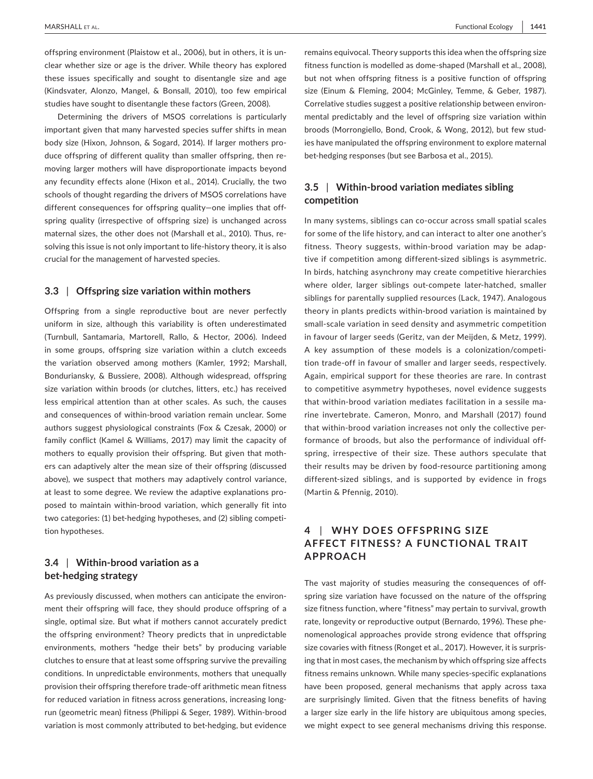offspring environment (Plaistow et al., 2006), but in others, it is unclear whether size or age is the driver. While theory has explored these issues specifically and sought to disentangle size and age (Kindsvater, Alonzo, Mangel, & Bonsall, 2010), too few empirical studies have sought to disentangle these factors (Green, 2008).

Determining the drivers of MSOS correlations is particularly important given that many harvested species suffer shifts in mean body size (Hixon, Johnson, & Sogard, 2014). If larger mothers produce offspring of different quality than smaller offspring, then removing larger mothers will have disproportionate impacts beyond any fecundity effects alone (Hixon et al., 2014). Crucially, the two schools of thought regarding the drivers of MSOS correlations have different consequences for offspring quality—one implies that offspring quality (irrespective of offspring size) is unchanged across maternal sizes, the other does not (Marshall et al., 2010). Thus, resolving this issue is not only important to life-history theory, it is also crucial for the management of harvested species.

#### **3.3** | **Offspring size variation within mothers**

Offspring from a single reproductive bout are never perfectly uniform in size, although this variability is often underestimated (Turnbull, Santamaria, Martorell, Rallo, & Hector, 2006). Indeed in some groups, offspring size variation within a clutch exceeds the variation observed among mothers (Kamler, 1992; Marshall, Bonduriansky, & Bussiere, 2008). Although widespread, offspring size variation within broods (or clutches, litters, etc.) has received less empirical attention than at other scales. As such, the causes and consequences of within-brood variation remain unclear. Some authors suggest physiological constraints (Fox & Czesak, 2000) or family conflict (Kamel & Williams, 2017) may limit the capacity of mothers to equally provision their offspring. But given that mothers can adaptively alter the mean size of their offspring (discussed above), we suspect that mothers may adaptively control variance, at least to some degree. We review the adaptive explanations proposed to maintain within-brood variation, which generally fit into two categories: (1) bet-hedging hypotheses, and (2) sibling competition hypotheses.

# **3.4** | **Within-brood variation as a bet-hedging strategy**

As previously discussed, when mothers can anticipate the environment their offspring will face, they should produce offspring of a single, optimal size. But what if mothers cannot accurately predict the offspring environment? Theory predicts that in unpredictable environments, mothers "hedge their bets" by producing variable clutches to ensure that at least some offspring survive the prevailing conditions. In unpredictable environments, mothers that unequally provision their offspring therefore trade-off arithmetic mean fitness for reduced variation in fitness across generations, increasing longrun (geometric mean) fitness (Philippi & Seger, 1989). Within-brood variation is most commonly attributed to bet-hedging, but evidence

remains equivocal. Theory supports this idea when the offspring size fitness function is modelled as dome-shaped (Marshall et al., 2008), but not when offspring fitness is a positive function of offspring size (Einum & Fleming, 2004; McGinley, Temme, & Geber, 1987). Correlative studies suggest a positive relationship between environmental predictably and the level of offspring size variation within broods (Morrongiello, Bond, Crook, & Wong, 2012), but few studies have manipulated the offspring environment to explore maternal bet-hedging responses (but see Barbosa et al., 2015).

# **3.5** | **Within-brood variation mediates sibling competition**

In many systems, siblings can co-occur across small spatial scales for some of the life history, and can interact to alter one another's fitness. Theory suggests, within-brood variation may be adaptive if competition among different-sized siblings is asymmetric. In birds, hatching asynchrony may create competitive hierarchies where older, larger siblings out-compete later-hatched, smaller siblings for parentally supplied resources (Lack, 1947). Analogous theory in plants predicts within-brood variation is maintained by small-scale variation in seed density and asymmetric competition in favour of larger seeds (Geritz, van der Meijden, & Metz, 1999). A key assumption of these models is a colonization/competition trade-off in favour of smaller and larger seeds, respectively. Again, empirical support for these theories are rare. In contrast to competitive asymmetry hypotheses, novel evidence suggests that within-brood variation mediates facilitation in a sessile marine invertebrate. Cameron, Monro, and Marshall (2017) found that within-brood variation increases not only the collective performance of broods, but also the performance of individual offspring, irrespective of their size. These authors speculate that their results may be driven by food-resource partitioning among different-sized siblings, and is supported by evidence in frogs (Martin & Pfennig, 2010).

# **4** | **WHY DOES OFFSPRING SIZE AFFECT FITNESS? A FUNCTIONAL TRAIT APPROACH**

The vast majority of studies measuring the consequences of offspring size variation have focussed on the nature of the offspring size fitness function, where "fitness" may pertain to survival, growth rate, longevity or reproductive output (Bernardo, 1996). These phenomenological approaches provide strong evidence that offspring size covaries with fitness (Ronget et al., 2017). However, it is surprising that in most cases, the mechanism by which offspring size affects fitness remains unknown. While many species-specific explanations have been proposed, general mechanisms that apply across taxa are surprisingly limited. Given that the fitness benefits of having a larger size early in the life history are ubiquitous among species, we might expect to see general mechanisms driving this response.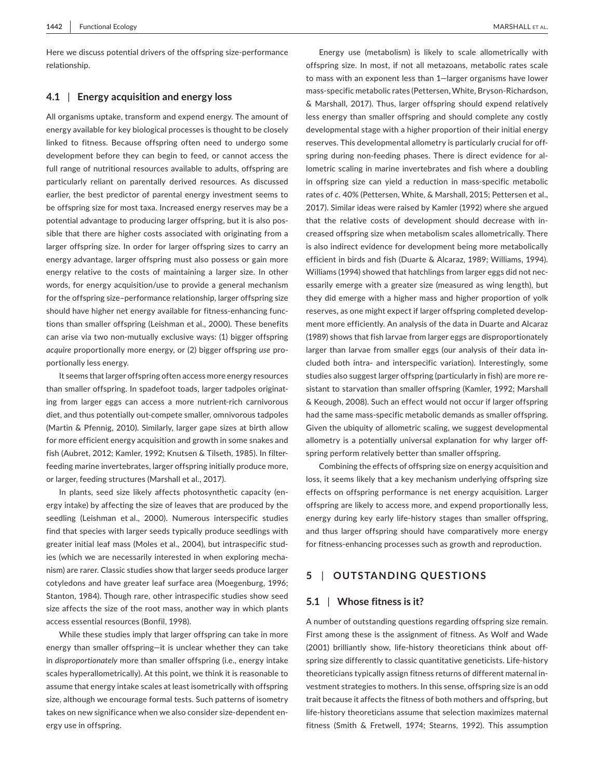Here we discuss potential drivers of the offspring size-performance relationship.

#### **4.1** | **Energy acquisition and energy loss**

All organisms uptake, transform and expend energy. The amount of energy available for key biological processes is thought to be closely linked to fitness. Because offspring often need to undergo some development before they can begin to feed, or cannot access the full range of nutritional resources available to adults, offspring are particularly reliant on parentally derived resources. As discussed earlier, the best predictor of parental energy investment seems to be offspring size for most taxa. Increased energy reserves may be a potential advantage to producing larger offspring, but it is also possible that there are higher costs associated with originating from a larger offspring size. In order for larger offspring sizes to carry an energy advantage, larger offspring must also possess or gain more energy relative to the costs of maintaining a larger size. In other words, for energy acquisition/use to provide a general mechanism for the offspring size–performance relationship, larger offspring size should have higher net energy available for fitness-enhancing functions than smaller offspring (Leishman et al., 2000). These benefits can arise via two non-mutually exclusive ways: (1) bigger offspring *acquire* proportionally more energy, or (2) bigger offspring *use* proportionally less energy.

It seems that larger offspring often access more energy resources than smaller offspring. In spadefoot toads, larger tadpoles originating from larger eggs can access a more nutrient-rich carnivorous diet, and thus potentially out-compete smaller, omnivorous tadpoles (Martin & Pfennig, 2010). Similarly, larger gape sizes at birth allow for more efficient energy acquisition and growth in some snakes and fish (Aubret, 2012; Kamler, 1992; Knutsen & Tilseth, 1985). In filterfeeding marine invertebrates, larger offspring initially produce more, or larger, feeding structures (Marshall et al., 2017).

In plants, seed size likely affects photosynthetic capacity (energy intake) by affecting the size of leaves that are produced by the seedling (Leishman et al., 2000). Numerous interspecific studies find that species with larger seeds typically produce seedlings with greater initial leaf mass (Moles et al., 2004), but intraspecific studies (which we are necessarily interested in when exploring mechanism) are rarer. Classic studies show that larger seeds produce larger cotyledons and have greater leaf surface area (Moegenburg, 1996; Stanton, 1984). Though rare, other intraspecific studies show seed size affects the size of the root mass, another way in which plants access essential resources (Bonfil, 1998).

While these studies imply that larger offspring can take in more energy than smaller offspring—it is unclear whether they can take in *disproportionately* more than smaller offspring (i.e., energy intake scales hyperallometrically). At this point, we think it is reasonable to assume that energy intake scales at least isometrically with offspring size, although we encourage formal tests. Such patterns of isometry takes on new significance when we also consider size-dependent energy use in offspring.

Energy use (metabolism) is likely to scale allometrically with offspring size. In most, if not all metazoans, metabolic rates scale to mass with an exponent less than 1—larger organisms have lower mass-specific metabolic rates (Pettersen, White, Bryson-Richardson, & Marshall, 2017). Thus, larger offspring should expend relatively less energy than smaller offspring and should complete any costly developmental stage with a higher proportion of their initial energy reserves. This developmental allometry is particularly crucial for offspring during non-feeding phases. There is direct evidence for allometric scaling in marine invertebrates and fish where a doubling in offspring size can yield a reduction in mass-specific metabolic rates of *c.* 40% (Pettersen, White, & Marshall, 2015; Pettersen et al., 2017). Similar ideas were raised by Kamler (1992) where she argued that the relative costs of development should decrease with increased offspring size when metabolism scales allometrically. There is also indirect evidence for development being more metabolically efficient in birds and fish (Duarte & Alcaraz, 1989; Williams, 1994). Williams (1994) showed that hatchlings from larger eggs did not necessarily emerge with a greater size (measured as wing length), but they did emerge with a higher mass and higher proportion of yolk reserves, as one might expect if larger offspring completed development more efficiently. An analysis of the data in Duarte and Alcaraz (1989) shows that fish larvae from larger eggs are disproportionately larger than larvae from smaller eggs (our analysis of their data included both intra- and interspecific variation). Interestingly, some studies also suggest larger offspring (particularly in fish) are more resistant to starvation than smaller offspring (Kamler, 1992; Marshall & Keough, 2008). Such an effect would not occur if larger offspring had the same mass-specific metabolic demands as smaller offspring. Given the ubiquity of allometric scaling, we suggest developmental allometry is a potentially universal explanation for why larger offspring perform relatively better than smaller offspring.

Combining the effects of offspring size on energy acquisition and loss, it seems likely that a key mechanism underlying offspring size effects on offspring performance is net energy acquisition. Larger offspring are likely to access more, and expend proportionally less, energy during key early life-history stages than smaller offspring, and thus larger offspring should have comparatively more energy for fitness-enhancing processes such as growth and reproduction.

# **5** | **OUTSTANDING QUESTIONS**

#### **5.1** | **Whose fitness is it?**

A number of outstanding questions regarding offspring size remain. First among these is the assignment of fitness. As Wolf and Wade (2001) brilliantly show, life-history theoreticians think about offspring size differently to classic quantitative geneticists. Life-history theoreticians typically assign fitness returns of different maternal investment strategies to mothers. In this sense, offspring size is an odd trait because it affects the fitness of both mothers and offspring, but life-history theoreticians assume that selection maximizes maternal fitness (Smith & Fretwell, 1974; Stearns, 1992). This assumption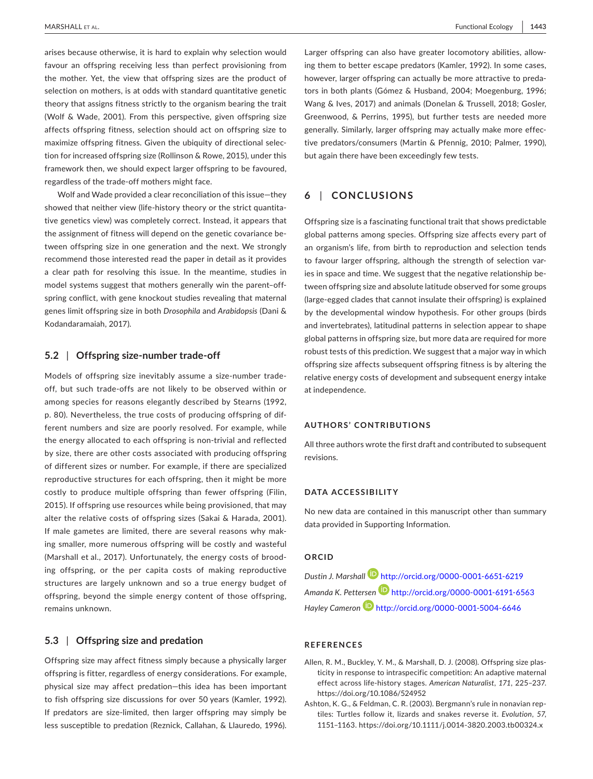arises because otherwise, it is hard to explain why selection would favour an offspring receiving less than perfect provisioning from the mother. Yet, the view that offspring sizes are the product of selection on mothers, is at odds with standard quantitative genetic theory that assigns fitness strictly to the organism bearing the trait (Wolf & Wade, 2001). From this perspective, given offspring size affects offspring fitness, selection should act on offspring size to maximize offspring fitness. Given the ubiquity of directional selection for increased offspring size (Rollinson & Rowe, 2015), under this framework then, we should expect larger offspring to be favoured, regardless of the trade-off mothers might face.

Wolf and Wade provided a clear reconciliation of this issue—they showed that neither view (life-history theory or the strict quantitative genetics view) was completely correct. Instead, it appears that the assignment of fitness will depend on the genetic covariance between offspring size in one generation and the next. We strongly recommend those interested read the paper in detail as it provides a clear path for resolving this issue. In the meantime, studies in model systems suggest that mothers generally win the parent–offspring conflict, with gene knockout studies revealing that maternal genes limit offspring size in both *Drosophila* and *Arabidopsis* (Dani & Kodandaramaiah, 2017)*.*

#### **5.2** | **Offspring size-number trade-off**

Models of offspring size inevitably assume a size-number tradeoff, but such trade-offs are not likely to be observed within or among species for reasons elegantly described by Stearns (1992, p. 80). Nevertheless, the true costs of producing offspring of different numbers and size are poorly resolved. For example, while the energy allocated to each offspring is non-trivial and reflected by size, there are other costs associated with producing offspring of different sizes or number. For example, if there are specialized reproductive structures for each offspring, then it might be more costly to produce multiple offspring than fewer offspring (Filin, 2015). If offspring use resources while being provisioned, that may alter the relative costs of offspring sizes (Sakai & Harada, 2001). If male gametes are limited, there are several reasons why making smaller, more numerous offspring will be costly and wasteful (Marshall et al., 2017). Unfortunately, the energy costs of brooding offspring, or the per capita costs of making reproductive structures are largely unknown and so a true energy budget of offspring, beyond the simple energy content of those offspring, remains unknown.

# **5.3** | **Offspring size and predation**

Offspring size may affect fitness simply because a physically larger offspring is fitter, regardless of energy considerations. For example, physical size may affect predation—this idea has been important to fish offspring size discussions for over 50 years (Kamler, 1992). If predators are size-limited, then larger offspring may simply be less susceptible to predation (Reznick, Callahan, & Llauredo, 1996).

Larger offspring can also have greater locomotory abilities, allowing them to better escape predators (Kamler, 1992). In some cases, however, larger offspring can actually be more attractive to predators in both plants (Gómez & Husband, 2004; Moegenburg, 1996; Wang & Ives, 2017) and animals (Donelan & Trussell, 2018; Gosler, Greenwood, & Perrins, 1995), but further tests are needed more generally. Similarly, larger offspring may actually make more effective predators/consumers (Martin & Pfennig, 2010; Palmer, 1990), but again there have been exceedingly few tests.

# **6** | **CONCLUSIONS**

Offspring size is a fascinating functional trait that shows predictable global patterns among species. Offspring size affects every part of an organism's life, from birth to reproduction and selection tends to favour larger offspring, although the strength of selection varies in space and time. We suggest that the negative relationship between offspring size and absolute latitude observed for some groups (large-egged clades that cannot insulate their offspring) is explained by the developmental window hypothesis. For other groups (birds and invertebrates), latitudinal patterns in selection appear to shape global patterns in offspring size, but more data are required for more robust tests of this prediction. We suggest that a major way in which offspring size affects subsequent offspring fitness is by altering the relative energy costs of development and subsequent energy intake at independence.

#### **AUTHORS' CONTRIBUTIONS**

All three authors wrote the first draft and contributed to subsequent revisions.

#### **DATA ACCESSIBILITY**

No new data are contained in this manuscript other than summary data provided in Supporting Information.

# **ORCID**

*Dustin J. Marshall* <http://orcid.org/0000-0001-6651-6219> *Amanda K. Pettersen* <http://orcid.org/0000-0001-6191-6563> *Hayley Cameron* <http://orcid.org/0000-0001-5004-6646>

# **REFERENCES**

- Allen, R. M., Buckley, Y. M., & Marshall, D. J. (2008). Offspring size plasticity in response to intraspecific competition: An adaptive maternal effect across life-history stages. *American Naturalist*, *171*, 225–237. <https://doi.org/10.1086/524952>
- Ashton, K. G., & Feldman, C. R. (2003). Bergmann's rule in nonavian reptiles: Turtles follow it, lizards and snakes reverse it. *Evolution*, *57*, 1151–1163. <https://doi.org/10.1111/j.0014-3820.2003.tb00324.x>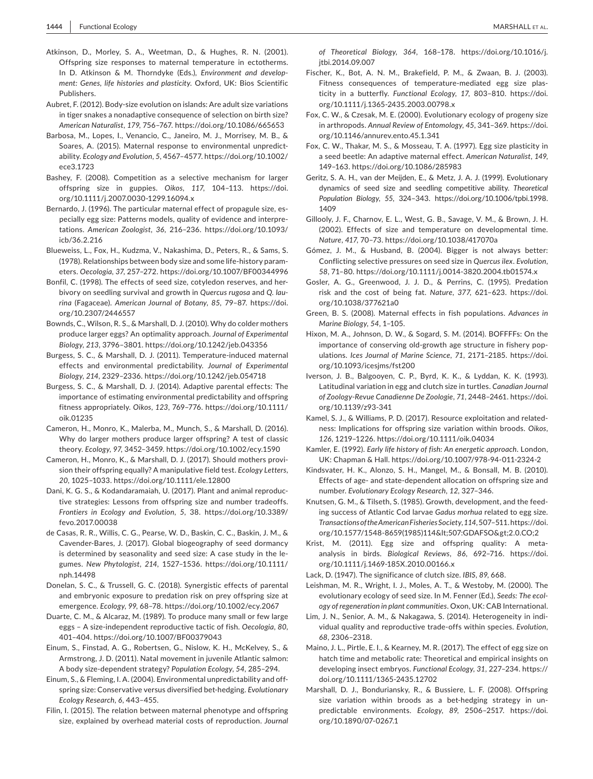- Atkinson, D., Morley, S. A., Weetman, D., & Hughes, R. N. (2001). Offspring size responses to maternal temperature in ectotherms. In D. Atkinson & M. Thorndyke (Eds.), *Environment and development: Genes, life histories and plasticity*. Oxford, UK: Bios Scientific Publishers.
- Aubret, F. (2012). Body-size evolution on islands: Are adult size variations in tiger snakes a nonadaptive consequence of selection on birth size? *American Naturalist*, *179*, 756–767. <https://doi.org/10.1086/665653>
- Barbosa, M., Lopes, I., Venancio, C., Janeiro, M. J., Morrisey, M. B., & Soares, A. (2015). Maternal response to environmental unpredictability. *Ecology and Evolution*, *5*, 4567–4577. [https://doi.org/10.1002/](https://doi.org/10.1002/ece3.1723) [ece3.1723](https://doi.org/10.1002/ece3.1723)
- Bashey, F. (2008). Competition as a selective mechanism for larger offspring size in guppies. *Oikos*, *117*, 104–113. [https://doi.](https://doi.org/10.1111/j.2007.0030-1299.16094.x) [org/10.1111/j.2007.0030-1299.16094.x](https://doi.org/10.1111/j.2007.0030-1299.16094.x)
- Bernardo, J. (1996). The particular maternal effect of propagule size, especially egg size: Patterns models, quality of evidence and interpretations. *American Zoologist*, *36*, 216–236. [https://doi.org/10.1093/](https://doi.org/10.1093/icb/36.2.216) [icb/36.2.216](https://doi.org/10.1093/icb/36.2.216)
- Blueweiss, L., Fox, H., Kudzma, V., Nakashima, D., Peters, R., & Sams, S. (1978). Relationships between body size and some life-history parameters. *Oecologia*, *37*, 257–272. <https://doi.org/10.1007/BF00344996>
- Bonfil, C. (1998). The effects of seed size, cotyledon reserves, and herbivory on seedling survival and growth in *Quercus rugosa* and *Q. laurina* (Fagaceae). *American Journal of Botany*, *85*, 79–87. [https://doi.](https://doi.org/10.2307/2446557) [org/10.2307/2446557](https://doi.org/10.2307/2446557)
- Bownds, C., Wilson, R. S., & Marshall, D. J. (2010). Why do colder mothers produce larger eggs? An optimality approach. *Journal of Experimental Biology*, *213*, 3796–3801.<https://doi.org/10.1242/jeb.043356>
- Burgess, S. C., & Marshall, D. J. (2011). Temperature-induced maternal effects and environmental predictability. *Journal of Experimental Biology*, *214*, 2329–2336.<https://doi.org/10.1242/jeb.054718>
- Burgess, S. C., & Marshall, D. J. (2014). Adaptive parental effects: The importance of estimating environmental predictability and offspring fitness appropriately. *Oikos*, *123*, 769–776. [https://doi.org/10.1111/](https://doi.org/10.1111/oik.01235) [oik.01235](https://doi.org/10.1111/oik.01235)
- Cameron, H., Monro, K., Malerba, M., Munch, S., & Marshall, D. (2016). Why do larger mothers produce larger offspring? A test of classic theory. *Ecology*, *97*, 3452–3459.<https://doi.org/10.1002/ecy.1590>
- Cameron, H., Monro, K., & Marshall, D. J. (2017). Should mothers provision their offspring equally? A manipulative field test. *Ecology Letters*, *20*, 1025–1033.<https://doi.org/10.1111/ele.12800>
- Dani, K. G. S., & Kodandaramaiah, U. (2017). Plant and animal reproductive strategies: Lessons from offspring size and number tradeoffs. *Frontiers in Ecology and Evolution*, *5*, 38. [https://doi.org/10.3389/](https://doi.org/10.3389/fevo.2017.00038) [fevo.2017.00038](https://doi.org/10.3389/fevo.2017.00038)
- de Casas, R. R., Willis, C. G., Pearse, W. D., Baskin, C. C., Baskin, J. M., & Cavender-Bares, J. (2017). Global biogeography of seed dormancy is determined by seasonality and seed size: A case study in the legumes. *New Phytologist*, *214*, 1527–1536. [https://doi.org/10.1111/](https://doi.org/10.1111/nph.14498) [nph.14498](https://doi.org/10.1111/nph.14498)
- Donelan, S. C., & Trussell, G. C. (2018). Synergistic effects of parental and embryonic exposure to predation risk on prey offspring size at emergence. *Ecology*, *99*, 68–78. <https://doi.org/10.1002/ecy.2067>
- Duarte, C. M., & Alcaraz, M. (1989). To produce many small or few large eggs – A size-independent reproductive tactic of fish. *Oecologia*, *80*, 401–404.<https://doi.org/10.1007/BF00379043>
- Einum, S., Finstad, A. G., Robertsen, G., Nislow, K. H., McKelvey, S., & Armstrong, J. D. (2011). Natal movement in juvenile Atlantic salmon: A body size-dependent strategy? *Population Ecology*, *54*, 285–294.
- Einum, S., & Fleming, I. A. (2004). Environmental unpredictability and offspring size: Conservative versus diversified bet-hedging. *Evolutionary Ecology Research*, *6*, 443–455.
- Filin, I. (2015). The relation between maternal phenotype and offspring size, explained by overhead material costs of reproduction. *Journal*

*of Theoretical Biology*, *364*, 168–178. [https://doi.org/10.1016/j.](https://doi.org/10.1016/j.jtbi.2014.09.007) [jtbi.2014.09.007](https://doi.org/10.1016/j.jtbi.2014.09.007)

- Fischer, K., Bot, A. N. M., Brakefield, P. M., & Zwaan, B. J. (2003). Fitness consequences of temperature-mediated egg size plasticity in a butterfly. *Functional Ecology*, *17*, 803–810. [https://doi.](https://doi.org/10.1111/j.1365-2435.2003.00798.x) [org/10.1111/j.1365-2435.2003.00798.x](https://doi.org/10.1111/j.1365-2435.2003.00798.x)
- Fox, C. W., & Czesak, M. E. (2000). Evolutionary ecology of progeny size in arthropods. *Annual Review of Entomology*, *45*, 341–369. [https://doi.](https://doi.org/10.1146/annurev.ento.45.1.341) [org/10.1146/annurev.ento.45.1.341](https://doi.org/10.1146/annurev.ento.45.1.341)
- Fox, C. W., Thakar, M. S., & Mosseau, T. A. (1997). Egg size plasticity in a seed beetle: An adaptive maternal effect. *American Naturalist*, *149*, 149–163. <https://doi.org/10.1086/285983>
- Geritz, S. A. H., van der Meijden, E., & Metz, J. A. J. (1999). Evolutionary dynamics of seed size and seedling competitive ability. *Theoretical Population Biology*, *55*, 324–343. [https://doi.org/10.1006/tpbi.1998.](https://doi.org/10.1006/tpbi.1998.1409) [1409](https://doi.org/10.1006/tpbi.1998.1409)
- Gillooly, J. F., Charnov, E. L., West, G. B., Savage, V. M., & Brown, J. H. (2002). Effects of size and temperature on developmental time. *Nature*, *417*, 70–73. <https://doi.org/10.1038/417070a>
- Gómez, J. M., & Husband, B. (2004). Bigger is not always better: Conflicting selective pressures on seed size in *Quercus ilex*. *Evolution*, *58*, 71–80. <https://doi.org/10.1111/j.0014-3820.2004.tb01574.x>
- Gosler, A. G., Greenwood, J. J. D., & Perrins, C. (1995). Predation risk and the cost of being fat. *Nature*, *377*, 621–623. [https://doi.](https://doi.org/10.1038/377621a0) [org/10.1038/377621a0](https://doi.org/10.1038/377621a0)
- Green, B. S. (2008). Maternal effects in fish populations. *Advances in Marine Biology*, *54*, 1–105.
- Hixon, M. A., Johnson, D. W., & Sogard, S. M. (2014). BOFFFFs: On the importance of conserving old-growth age structure in fishery populations. *Ices Journal of Marine Science*, *71*, 2171–2185. [https://doi.](https://doi.org/10.1093/icesjms/fst200) [org/10.1093/icesjms/fst200](https://doi.org/10.1093/icesjms/fst200)
- Iverson, J. B., Balgooyen, C. P., Byrd, K. K., & Lyddan, K. K. (1993). Latitudinal variation in egg and clutch size in turtles. *Canadian Journal of Zoology-Revue Canadienne De Zoologie*, *71*, 2448–2461. [https://doi.](https://doi.org/10.1139/z93-341) [org/10.1139/z93-341](https://doi.org/10.1139/z93-341)
- Kamel, S. J., & Williams, P. D. (2017). Resource exploitation and relatedness: Implications for offspring size variation within broods. *Oikos*, *126*, 1219–1226. <https://doi.org/10.1111/oik.04034>
- Kamler, E. (1992). *Early life history of fish: An energetic approach*. London, UK: Chapman & Hall.<https://doi.org/10.1007/978-94-011-2324-2>
- Kindsvater, H. K., Alonzo, S. H., Mangel, M., & Bonsall, M. B. (2010). Effects of age- and state-dependent allocation on offspring size and number. *Evolutionary Ecology Research*, *12*, 327–346.
- Knutsen, G. M., & Tilseth, S. (1985). Growth, development, and the feeding success of Atlantic Cod larvae *Gadus morhua* related to egg size. *Transactions of the American Fisheries Society*, *114*, 507–511. [https://doi.](https://doi.org/10.1577/1548-8659(1985)114%3c507:GDAFSO%3e2.0.CO;2) org/10.1577/1548-8659(1985)114<507:GDAFSO&gt;2.0.CO;2
- Krist, M. (2011). Egg size and offspring quality: A metaanalysis in birds. *Biological Reviews*, *86*, 692–716. [https://doi.](https://doi.org/10.1111/j.1469-185X.2010.00166.x) [org/10.1111/j.1469-185X.2010.00166.x](https://doi.org/10.1111/j.1469-185X.2010.00166.x)
- Lack, D. (1947). The significance of clutch size. *IBIS*, *89*, 668.
- Leishman, M. R., Wright, I. J., Moles, A. T., & Westoby, M. (2000). The evolutionary ecology of seed size. In M. Fenner (Ed.), *Seeds: The ecology of regeneration in plant communities*. Oxon, UK: CAB International.
- Lim, J. N., Senior, A. M., & Nakagawa, S. (2014). Heterogeneity in individual quality and reproductive trade-offs within species. *Evolution*, *68*, 2306–2318.
- Maino, J. L., Pirtle, E. I., & Kearney, M. R. (2017). The effect of egg size on hatch time and metabolic rate: Theoretical and empirical insights on developing insect embryos. *Functional Ecology*, *31*, 227–234. [https://](https://doi.org/10.1111/1365-2435.12702) [doi.org/10.1111/1365-2435.12702](https://doi.org/10.1111/1365-2435.12702)
- Marshall, D. J., Bonduriansky, R., & Bussiere, L. F. (2008). Offspring size variation within broods as a bet-hedging strategy in unpredictable environments. *Ecology*, *89*, 2506–2517. [https://doi.](https://doi.org/10.1890/07-0267.1) [org/10.1890/07-0267.1](https://doi.org/10.1890/07-0267.1)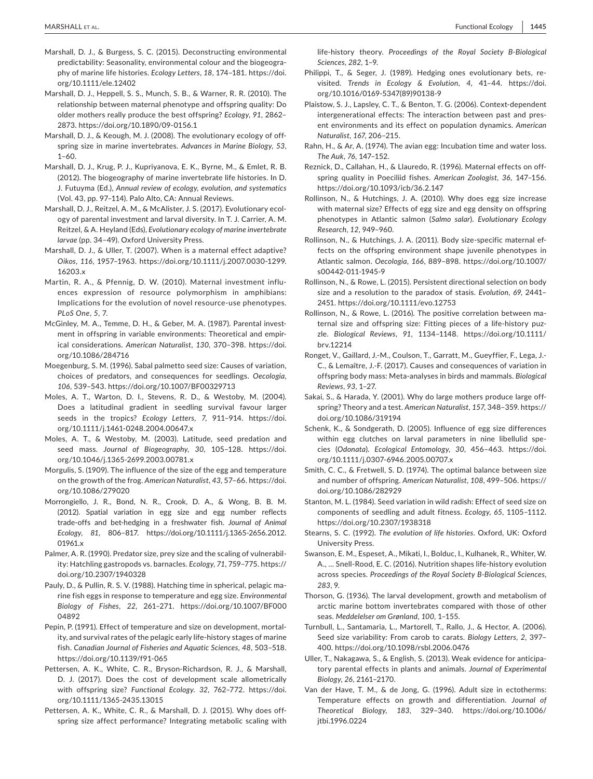- Marshall, D. J., & Burgess, S. C. (2015). Deconstructing environmental predictability: Seasonality, environmental colour and the biogeography of marine life histories. *Ecology Letters*, *18*, 174–181. [https://doi.](https://doi.org/10.1111/ele.12402) [org/10.1111/ele.12402](https://doi.org/10.1111/ele.12402)
- Marshall, D. J., Heppell, S. S., Munch, S. B., & Warner, R. R. (2010). The relationship between maternal phenotype and offspring quality: Do older mothers really produce the best offspring? *Ecology*, *91*, 2862– 2873.<https://doi.org/10.1890/09-0156.1>
- Marshall, D. J., & Keough, M. J. (2008). The evolutionary ecology of offspring size in marine invertebrates. *Advances in Marine Biology*, *53*,  $1 - 60.$
- Marshall, D. J., Krug, P. J., Kupriyanova, E. K., Byrne, M., & Emlet, R. B. (2012). The biogeography of marine invertebrate life histories. In D. J. Futuyma (Ed.), *Annual review of ecology, evolution, and systematics* (Vol. 43, pp. 97–114). Palo Alto, CA: Annual Reviews.
- Marshall, D. J., Reitzel, A. M., & McAlister, J. S. (2017). Evolutionary ecology of parental investment and larval diversity. In T. J. Carrier, A. M. Reitzel, & A. Heyland (Eds), *Evolutionary ecology of marine invertebrate larvae* (pp. 34–49). Oxford University Press.
- Marshall, D. J., & Uller, T. (2007). When is a maternal effect adaptive? *Oikos*, *116*, 1957–1963. [https://doi.org/10.1111/j.2007.0030-1299.](https://doi.org/10.1111/j.2007.0030-1299.16203.x) [16203.x](https://doi.org/10.1111/j.2007.0030-1299.16203.x)
- Martin, R. A., & Pfennig, D. W. (2010). Maternal investment influences expression of resource polymorphism in amphibians: Implications for the evolution of novel resource-use phenotypes. *PLoS One*, *5*, 7.
- McGinley, M. A., Temme, D. H., & Geber, M. A. (1987). Parental investment in offspring in variable environments: Theoretical and empirical considerations. *American Naturalist*, *130*, 370–398. [https://doi.](https://doi.org/10.1086/284716) [org/10.1086/284716](https://doi.org/10.1086/284716)
- Moegenburg, S. M. (1996). Sabal palmetto seed size: Causes of variation, choices of predators, and consequences for seedlings. *Oecologia*, *106*, 539–543. <https://doi.org/10.1007/BF00329713>
- Moles, A. T., Warton, D. I., Stevens, R. D., & Westoby, M. (2004). Does a latitudinal gradient in seedling survival favour larger seeds in the tropics? *Ecology Letters*, *7*, 911–914. [https://doi.](https://doi.org/10.1111/j.1461-0248.2004.00647.x) [org/10.1111/j.1461-0248.2004.00647.x](https://doi.org/10.1111/j.1461-0248.2004.00647.x)
- Moles, A. T., & Westoby, M. (2003). Latitude, seed predation and seed mass. *Journal of Biogeography*, *30*, 105–128. [https://doi.](https://doi.org/10.1046/j.1365-2699.2003.00781.x) [org/10.1046/j.1365-2699.2003.00781.x](https://doi.org/10.1046/j.1365-2699.2003.00781.x)
- Morgulis, S. (1909). The influence of the size of the egg and temperature on the growth of the frog. *American Naturalist*, *43*, 57–66. [https://doi.](https://doi.org/10.1086/279020) [org/10.1086/279020](https://doi.org/10.1086/279020)
- Morrongiello, J. R., Bond, N. R., Crook, D. A., & Wong, B. B. M. (2012). Spatial variation in egg size and egg number reflects trade-offs and bet-hedging in a freshwater fish. *Journal of Animal Ecology*, *81*, 806–817. [https://doi.org/10.1111/j.1365-2656.2012.](https://doi.org/10.1111/j.1365-2656.2012.01961.x) [01961.x](https://doi.org/10.1111/j.1365-2656.2012.01961.x)
- Palmer, A. R. (1990). Predator size, prey size and the scaling of vulnerability: Hatchling gastropods vs. barnacles. *Ecology*, *71*, 759–775. [https://](https://doi.org/10.2307/1940328) [doi.org/10.2307/1940328](https://doi.org/10.2307/1940328)
- Pauly, D., & Pullin, R. S. V. (1988). Hatching time in spherical, pelagic marine fish eggs in response to temperature and egg size. *Environmental Biology of Fishes*, *22*, 261–271. [https://doi.org/10.1007/BF000](https://doi.org/10.1007/BF00004892) [04892](https://doi.org/10.1007/BF00004892)
- Pepin, P. (1991). Effect of temperature and size on development, mortality, and survival rates of the pelagic early life-history stages of marine fish. *Canadian Journal of Fisheries and Aquatic Sciences*, *48*, 503–518. <https://doi.org/10.1139/f91-065>
- Pettersen, A. K., White, C. R., Bryson-Richardson, R. J., & Marshall, D. J. (2017). Does the cost of development scale allometrically with offspring size? *Functional Ecology*. *32*, 762–772. [https://doi.](https://doi.org/10.1111/1365-2435.13015) [org/10.1111/1365-2435.13015](https://doi.org/10.1111/1365-2435.13015)
- Pettersen, A. K., White, C. R., & Marshall, D. J. (2015). Why does offspring size affect performance? Integrating metabolic scaling with

life-history theory. *Proceedings of the Royal Society B-Biological Sciences*, *282*, 1–9.

- Philippi, T., & Seger, J. (1989). Hedging ones evolutionary bets, revisited. *Trends in Ecology & Evolution*, *4*, 41–44. [https://doi.](https://doi.org/10.1016/0169-5347(89)90138-9) [org/10.1016/0169-5347\(89\)90138-9](https://doi.org/10.1016/0169-5347(89)90138-9)
- Plaistow, S. J., Lapsley, C. T., & Benton, T. G. (2006). Context-dependent intergenerational effects: The interaction between past and present environments and its effect on population dynamics. *American Naturalist*, *167*, 206–215.
- Rahn, H., & Ar, A. (1974). The avian egg: Incubation time and water loss. *The Auk*, *76*, 147–152.
- Reznick, D., Callahan, H., & Llauredo, R. (1996). Maternal effects on offspring quality in Poeciliid fishes. *American Zoologist*, *36*, 147–156. <https://doi.org/10.1093/icb/36.2.147>
- Rollinson, N., & Hutchings, J. A. (2010). Why does egg size increase with maternal size? Effects of egg size and egg density on offspring phenotypes in Atlantic salmon (*Salmo salar*). *Evolutionary Ecology Research*, *12*, 949–960.
- Rollinson, N., & Hutchings, J. A. (2011). Body size-specific maternal effects on the offspring environment shape juvenile phenotypes in Atlantic salmon. *Oecologia*, *166*, 889–898. [https://doi.org/10.1007/](https://doi.org/10.1007/s00442-011-1945-9) [s00442-011-1945-9](https://doi.org/10.1007/s00442-011-1945-9)
- Rollinson, N., & Rowe, L. (2015). Persistent directional selection on body size and a resolution to the paradox of stasis. *Evolution*, *69*, 2441– 2451.<https://doi.org/10.1111/evo.12753>
- Rollinson, N., & Rowe, L. (2016). The positive correlation between maternal size and offspring size: Fitting pieces of a life-history puzzle. *Biological Reviews*, *91*, 1134–1148. [https://doi.org/10.1111/](https://doi.org/10.1111/brv.12214) [brv.12214](https://doi.org/10.1111/brv.12214)
- Ronget, V., Gaillard, J.-M., Coulson, T., Garratt, M., Gueyffier, F., Lega, J.- C., & Lemaître, J.-F. (2017). Causes and consequences of variation in offspring body mass: Meta-analyses in birds and mammals. *Biological Reviews*, *93*, 1–27.
- Sakai, S., & Harada, Y. (2001). Why do large mothers produce large offspring? Theory and a test. *American Naturalist*, *157*, 348–359. [https://](https://doi.org/10.1086/319194) [doi.org/10.1086/319194](https://doi.org/10.1086/319194)
- Schenk, K., & Sondgerath, D. (2005). Influence of egg size differences within egg clutches on larval parameters in nine libellulid species (*Odonata*). *Ecological Entomology*, *30*, 456–463. [https://doi.](https://doi.org/10.1111/j.0307-6946.2005.00707.x) [org/10.1111/j.0307-6946.2005.00707.x](https://doi.org/10.1111/j.0307-6946.2005.00707.x)
- Smith, C. C., & Fretwell, S. D. (1974). The optimal balance between size and number of offspring. *American Naturalist*, *108*, 499–506. [https://](https://doi.org/10.1086/282929) [doi.org/10.1086/282929](https://doi.org/10.1086/282929)
- Stanton, M. L. (1984). Seed variation in wild radish: Effect of seed size on components of seedling and adult fitness. *Ecology*, *65*, 1105–1112. <https://doi.org/10.2307/1938318>
- Stearns, S. C. (1992). *The evolution of life histories*. Oxford, UK: Oxford University Press.
- Swanson, E. M., Espeset, A., Mikati, I., Bolduc, I., Kulhanek, R., Whiter, W. A., … Snell-Rood, E. C. (2016). Nutrition shapes life-history evolution across species. *Proceedings of the Royal Society B-Biological Sciences*, *283*, 9.
- Thorson, G. (1936). The larval development, growth and metabolism of arctic marine bottom invertebrates compared with those of other seas. *Meddelelser om Grønland*, *100*, 1–155.
- Turnbull, L., Santamaria, L., Martorell, T., Rallo, J., & Hector, A. (2006). Seed size variability: From carob to carats. *Biology Letters*, *2*, 397– 400.<https://doi.org/10.1098/rsbl.2006.0476>
- Uller, T., Nakagawa, S., & English, S. (2013). Weak evidence for anticipatory parental effects in plants and animals. *Journal of Experimental Biology*, *26*, 2161–2170.
- Van der Have, T. M., & de Jong, G. (1996). Adult size in ectotherms: Temperature effects on growth and differentiation. *Journal of Theoretical Biology*, *183*, 329–340. [https://doi.org/10.1006/](https://doi.org/10.1006/jtbi.1996.0224) [jtbi.1996.0224](https://doi.org/10.1006/jtbi.1996.0224)